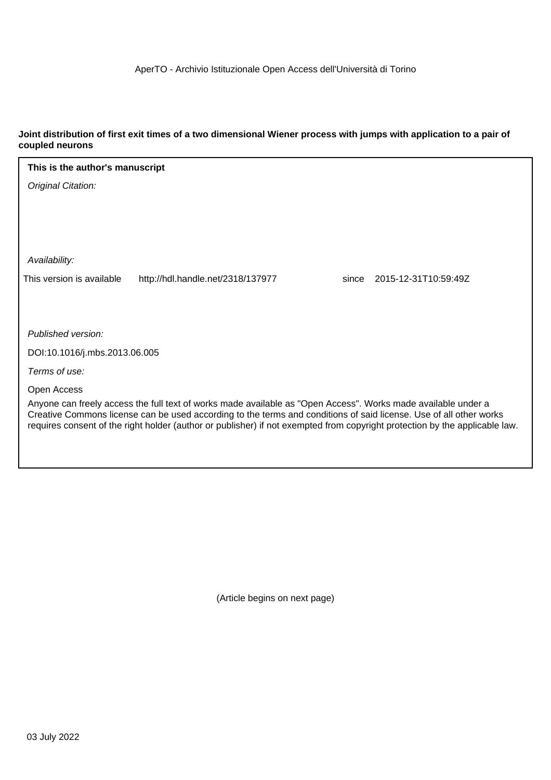## **Joint distribution of first exit times of a two dimensional Wiener process with jumps with application to a pair of coupled neurons**

| This is the author's manuscript                                                                                                                                                                                                     |  |  |  |  |  |
|-------------------------------------------------------------------------------------------------------------------------------------------------------------------------------------------------------------------------------------|--|--|--|--|--|
| Original Citation:                                                                                                                                                                                                                  |  |  |  |  |  |
|                                                                                                                                                                                                                                     |  |  |  |  |  |
|                                                                                                                                                                                                                                     |  |  |  |  |  |
|                                                                                                                                                                                                                                     |  |  |  |  |  |
| Availability:                                                                                                                                                                                                                       |  |  |  |  |  |
| This version is available<br>http://hdl.handle.net/2318/137977<br>2015-12-31T10:59:49Z<br>since                                                                                                                                     |  |  |  |  |  |
|                                                                                                                                                                                                                                     |  |  |  |  |  |
|                                                                                                                                                                                                                                     |  |  |  |  |  |
| Published version:                                                                                                                                                                                                                  |  |  |  |  |  |
| DOI:10.1016/j.mbs.2013.06.005                                                                                                                                                                                                       |  |  |  |  |  |
| Terms of use:                                                                                                                                                                                                                       |  |  |  |  |  |
| Open Access                                                                                                                                                                                                                         |  |  |  |  |  |
| Anyone can freely access the full text of works made available as "Open Access". Works made available under a<br>Creative Commons license can be used according to the terms and conditions of said license. Use of all other works |  |  |  |  |  |
| requires consent of the right holder (author or publisher) if not exempted from copyright protection by the applicable law.                                                                                                         |  |  |  |  |  |
|                                                                                                                                                                                                                                     |  |  |  |  |  |

(Article begins on next page)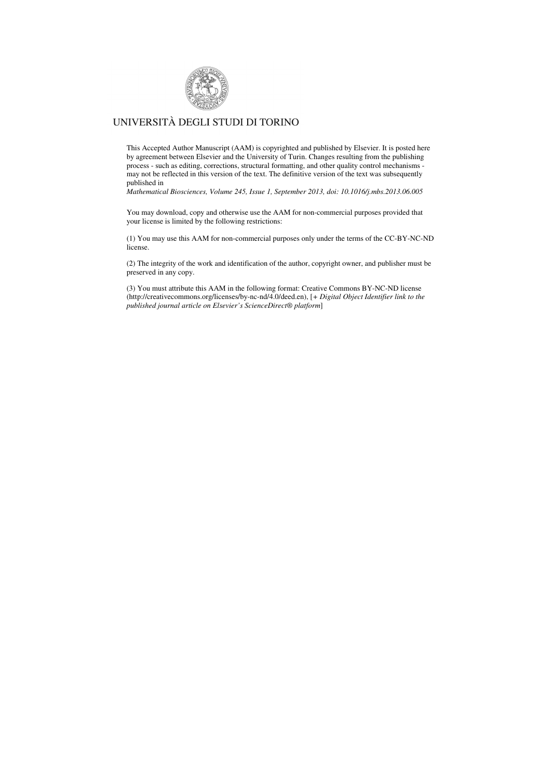

## UNIVERSITÀ DEGLI STUDI DI TORINO

This Accepted Author Manuscript (AAM) is copyrighted and published by Elsevier. It is posted here by agreement between Elsevier and the University of Turin. Changes resulting from the publishing process - such as editing, corrections, structural formatting, and other quality control mechanisms may not be reflected in this version of the text. The definitive version of the text was subsequently published in

*Mathematical Biosciences, Volume 245, Issue 1, September 2013, doi: 10.1016/j.mbs.2013.06.005* 

You may download, copy and otherwise use the AAM for non-commercial purposes provided that your license is limited by the following restrictions:

(1) You may use this AAM for non-commercial purposes only under the terms of the CC-BY-NC-ND license.

(2) The integrity of the work and identification of the author, copyright owner, and publisher must be preserved in any copy.

(3) You must attribute this AAM in the following format: Creative Commons BY-NC-ND license (http://creativecommons.org/licenses/by-nc-nd/4.0/deed.en), [*+ Digital Object Identifier link to the published journal article on Elsevier's ScienceDirect® platform*]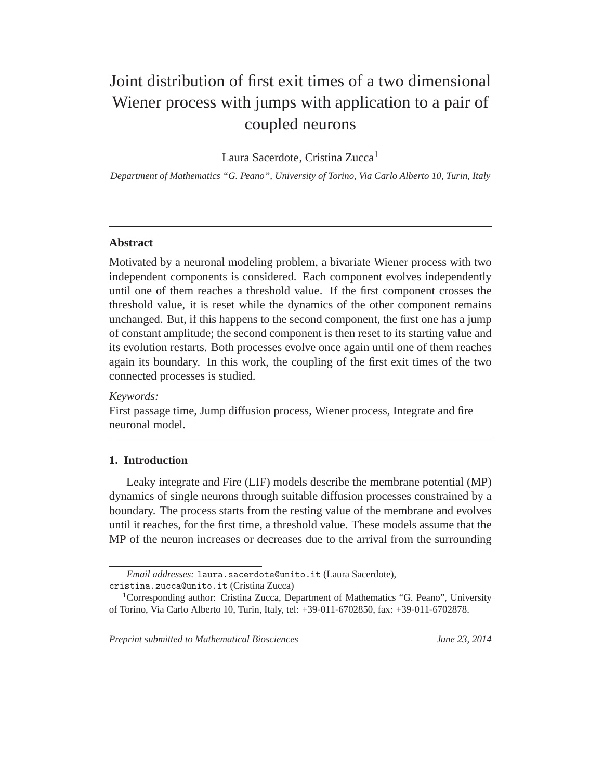# Joint distribution of first exit times of a two dimensional Wiener process with jumps with application to a pair of coupled neurons

Laura Sacerdote, Cristina Zucca<sup>1</sup>

*Department of Mathematics "G. Peano", University of Torino, Via Carlo Alberto 10, Turin, Italy*

## **Abstract**

Motivated by a neuronal modeling problem, a bivariate Wiener process with two independent components is considered. Each component evolves independently until one of them reaches a threshold value. If the first component crosses the threshold value, it is reset while the dynamics of the other component remains unchanged. But, if this happens to the second component, the first one has a jump of constant amplitude; the second component is then reset to its starting value and its evolution restarts. Both processes evolve once again until one of them reaches again its boundary. In this work, the coupling of the first exit times of the two connected processes is studied.

## *Keywords:*

First passage time, Jump diffusion process, Wiener process, Integrate and fire neuronal model.

## **1. Introduction**

Leaky integrate and Fire (LIF) models describe the membrane potential (MP) dynamics of single neurons through suitable diffusion processes constrained by a boundary. The process starts from the resting value of the membrane and evolves until it reaches, for the first time, a threshold value. These models assume that the MP of the neuron increases or decreases due to the arrival from the surrounding

*Email addresses:* laura.sacerdote@unito.it (Laura Sacerdote), cristina.zucca@unito.it (Cristina Zucca)

<sup>1</sup>Corresponding author: Cristina Zucca, Department of Mathematics "G. Peano", University of Torino, Via Carlo Alberto 10, Turin, Italy, tel: +39-011-6702850, fax: +39-011-6702878.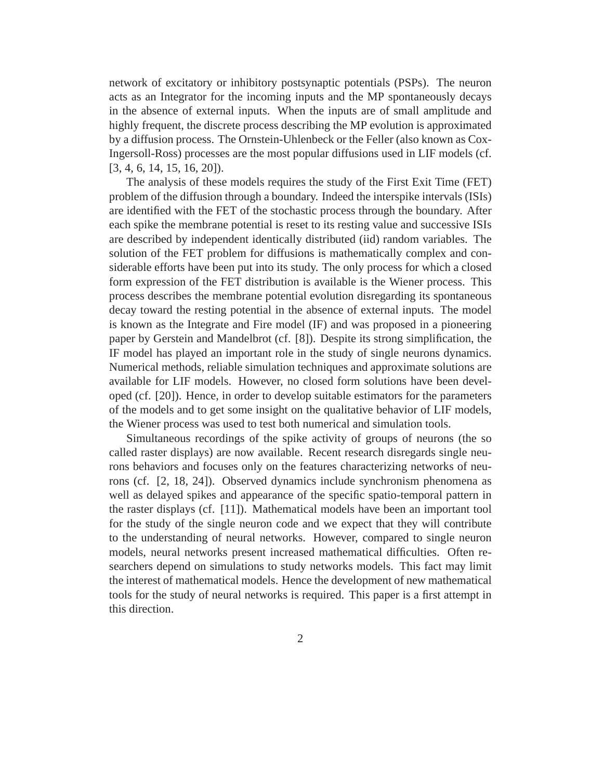network of excitatory or inhibitory postsynaptic potentials (PSPs). The neuron acts as an Integrator for the incoming inputs and the MP spontaneously decays in the absence of external inputs. When the inputs are of small amplitude and highly frequent, the discrete process describing the MP evolution is approximated by a diffusion process. The Ornstein-Uhlenbeck or the Feller (also known as Cox-Ingersoll-Ross) processes are the most popular diffusions used in LIF models (cf. [3, 4, 6, 14, 15, 16, 20]).

The analysis of these models requires the study of the First Exit Time (FET) problem of the diffusion through a boundary. Indeed the interspike intervals (ISIs) are identified with the FET of the stochastic process through the boundary. After each spike the membrane potential is reset to its resting value and successive ISIs are described by independent identically distributed (iid) random variables. The solution of the FET problem for diffusions is mathematically complex and considerable efforts have been put into its study. The only process for which a closed form expression of the FET distribution is available is the Wiener process. This process describes the membrane potential evolution disregarding its spontaneous decay toward the resting potential in the absence of external inputs. The model is known as the Integrate and Fire model (IF) and was proposed in a pioneering paper by Gerstein and Mandelbrot (cf. [8]). Despite its strong simplification, the IF model has played an important role in the study of single neurons dynamics. Numerical methods, reliable simulation techniques and approximate solutions are available for LIF models. However, no closed form solutions have been developed (cf. [20]). Hence, in order to develop suitable estimators for the parameters of the models and to get some insight on the qualitative behavior of LIF models, the Wiener process was used to test both numerical and simulation tools.

Simultaneous recordings of the spike activity of groups of neurons (the so called raster displays) are now available. Recent research disregards single neurons behaviors and focuses only on the features characterizing networks of neurons (cf. [2, 18, 24]). Observed dynamics include synchronism phenomena as well as delayed spikes and appearance of the specific spatio-temporal pattern in the raster displays (cf. [11]). Mathematical models have been an important tool for the study of the single neuron code and we expect that they will contribute to the understanding of neural networks. However, compared to single neuron models, neural networks present increased mathematical difficulties. Often researchers depend on simulations to study networks models. This fact may limit the interest of mathematical models. Hence the development of new mathematical tools for the study of neural networks is required. This paper is a first attempt in this direction.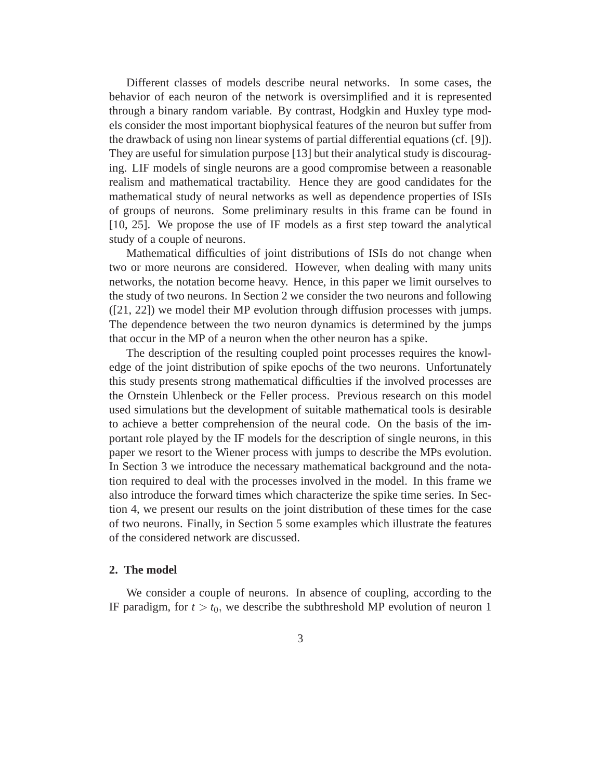Different classes of models describe neural networks. In some cases, the behavior of each neuron of the network is oversimplified and it is represented through a binary random variable. By contrast, Hodgkin and Huxley type models consider the most important biophysical features of the neuron but suffer from the drawback of using non linear systems of partial differential equations (cf. [9]). They are useful for simulation purpose [13] but their analytical study is discouraging. LIF models of single neurons are a good compromise between a reasonable realism and mathematical tractability. Hence they are good candidates for the mathematical study of neural networks as well as dependence properties of ISIs of groups of neurons. Some preliminary results in this frame can be found in [10, 25]. We propose the use of IF models as a first step toward the analytical study of a couple of neurons.

Mathematical difficulties of joint distributions of ISIs do not change when two or more neurons are considered. However, when dealing with many units networks, the notation become heavy. Hence, in this paper we limit ourselves to the study of two neurons. In Section 2 we consider the two neurons and following ([21, 22]) we model their MP evolution through diffusion processes with jumps. The dependence between the two neuron dynamics is determined by the jumps that occur in the MP of a neuron when the other neuron has a spike.

The description of the resulting coupled point processes requires the knowledge of the joint distribution of spike epochs of the two neurons. Unfortunately this study presents strong mathematical difficulties if the involved processes are the Ornstein Uhlenbeck or the Feller process. Previous research on this model used simulations but the development of suitable mathematical tools is desirable to achieve a better comprehension of the neural code. On the basis of the important role played by the IF models for the description of single neurons, in this paper we resort to the Wiener process with jumps to describe the MPs evolution. In Section 3 we introduce the necessary mathematical background and the notation required to deal with the processes involved in the model. In this frame we also introduce the forward times which characterize the spike time series. In Section 4, we present our results on the joint distribution of these times for the case of two neurons. Finally, in Section 5 some examples which illustrate the features of the considered network are discussed.

## **2. The model**

We consider a couple of neurons. In absence of coupling, according to the IF paradigm, for  $t > t_0$ , we describe the subthreshold MP evolution of neuron 1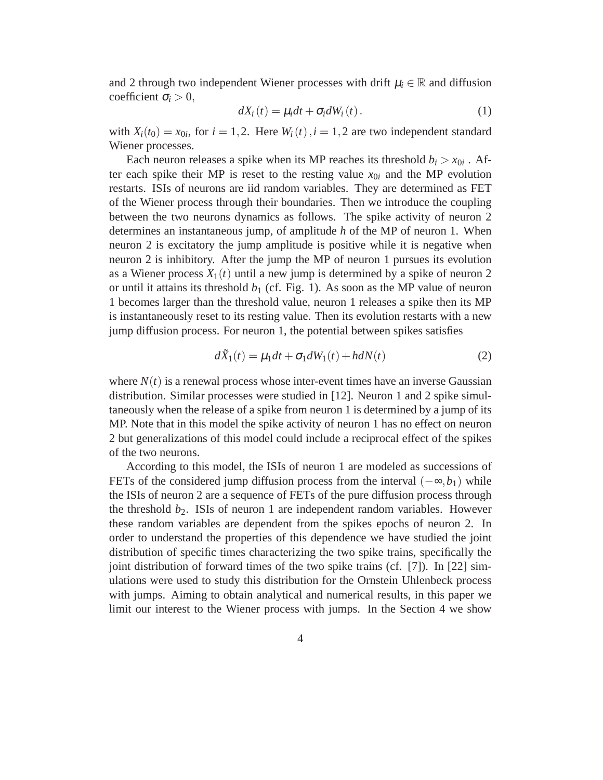and 2 through two independent Wiener processes with drift  $\mu_i \in \mathbb{R}$  and diffusion coefficient  $\sigma_i > 0$ ,

$$
dX_i(t) = \mu_i dt + \sigma_i dW_i(t).
$$
 (1)

with  $X_i(t_0) = x_{0i}$ , for  $i = 1, 2$ . Here  $W_i(t)$ ,  $i = 1, 2$  are two independent standard Wiener processes.

Each neuron releases a spike when its MP reaches its threshold  $b_i > x_{0i}$ . After each spike their MP is reset to the resting value  $x_{0i}$  and the MP evolution restarts. ISIs of neurons are iid random variables. They are determined as FET of the Wiener process through their boundaries. Then we introduce the coupling between the two neurons dynamics as follows. The spike activity of neuron 2 determines an instantaneous jump, of amplitude *h* of the MP of neuron 1. When neuron 2 is excitatory the jump amplitude is positive while it is negative when neuron 2 is inhibitory. After the jump the MP of neuron 1 pursues its evolution as a Wiener process  $X_1(t)$  until a new jump is determined by a spike of neuron 2 or until it attains its threshold  $b_1$  (cf. Fig. 1). As soon as the MP value of neuron 1 becomes larger than the threshold value, neuron 1 releases a spike then its MP is instantaneously reset to its resting value. Then its evolution restarts with a new jump diffusion process. For neuron 1, the potential between spikes satisfies

$$
d\tilde{X}_1(t) = \mu_1 dt + \sigma_1 dW_1(t) + hdN(t)
$$
\n(2)

where  $N(t)$  is a renewal process whose inter-event times have an inverse Gaussian distribution. Similar processes were studied in [12]. Neuron 1 and 2 spike simultaneously when the release of a spike from neuron 1 is determined by a jump of its MP. Note that in this model the spike activity of neuron 1 has no effect on neuron 2 but generalizations of this model could include a reciprocal effect of the spikes of the two neurons.

According to this model, the ISIs of neuron 1 are modeled as successions of FETs of the considered jump diffusion process from the interval  $(-\infty, b_1)$  while the ISIs of neuron 2 are a sequence of FETs of the pure diffusion process through the threshold  $b_2$ . ISIs of neuron 1 are independent random variables. However these random variables are dependent from the spikes epochs of neuron 2. In order to understand the properties of this dependence we have studied the joint distribution of specific times characterizing the two spike trains, specifically the joint distribution of forward times of the two spike trains (cf. [7]). In [22] simulations were used to study this distribution for the Ornstein Uhlenbeck process with jumps. Aiming to obtain analytical and numerical results, in this paper we limit our interest to the Wiener process with jumps. In the Section 4 we show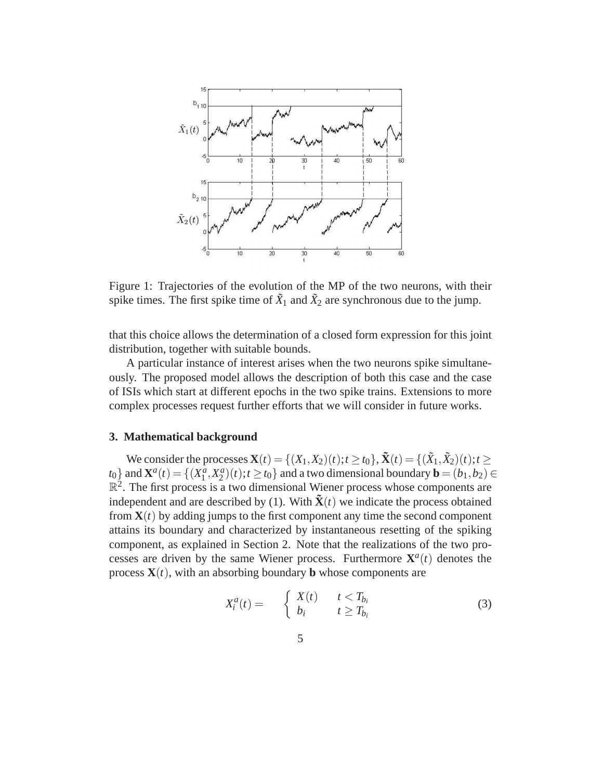

Figure 1: Trajectories of the evolution of the MP of the two neurons, with their spike times. The first spike time of  $\tilde{X}_1$  and  $\tilde{X}_2$  are synchronous due to the jump.

that this choice allows the determination of a closed form expression for this joint distribution, together with suitable bounds.

A particular instance of interest arises when the two neurons spike simultaneously. The proposed model allows the description of both this case and the case of ISIs which start at different epochs in the two spike trains. Extensions to more complex processes request further efforts that we will consider in future works.

#### **3. Mathematical background**

We consider the processes  $\mathbf{X}(t) = \{(X_1, X_2)(t); t \ge t_0\}$ ,  $\mathbf{\tilde{X}}(t) = \{(\tilde{X}_1, \tilde{X}_2)(t); t \ge t_0\}$  $t_0$  and  $\mathbf{X}^a(t) = \{(X_1^a, X_2^a)(t); t \ge t_0\}$  and a two dimensional boundary  $\mathbf{b} = (b_1, b_2) \in$  $\mathbb{R}^2$ . The first process is a two dimensional Wiener process whose components are independent and are described by (1). With  $\mathbf{\tilde{X}}(t)$  we indicate the process obtained from  **by adding jumps to the first component any time the second component** attains its boundary and characterized by instantaneous resetting of the spiking component, as explained in Section 2. Note that the realizations of the two processes are driven by the same Wiener process. Furthermore  $X^a(t)$  denotes the process  $X(t)$ , with an absorbing boundary **b** whose components are

$$
X_i^a(t) = \begin{cases} X(t) & t < T_{b_i} \\ b_i & t \ge T_{b_i} \end{cases} \tag{3}
$$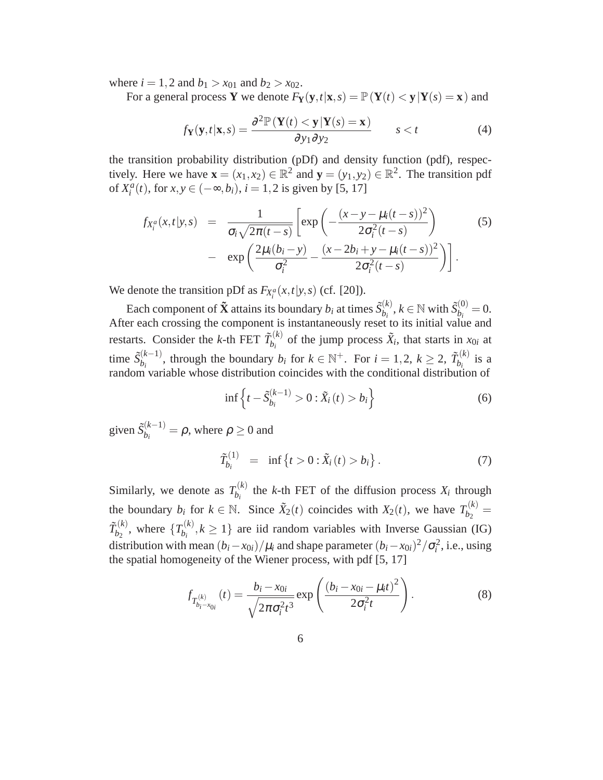where  $i = 1, 2$  and  $b_1 > x_{01}$  and  $b_2 > x_{02}$ .

For a general process **Y** we denote  $F_Y(y, t | x, s) = \mathbb{P}(Y(t) < y | Y(s) = x)$  and

$$
f_{\mathbf{Y}}(\mathbf{y},t|\mathbf{x},s) = \frac{\partial^2 \mathbb{P}\left(\mathbf{Y}(t) < \mathbf{y} \,|\mathbf{Y}(s) = \mathbf{x}\right)}{\partial y_1 \partial y_2} \qquad s < t \tag{4}
$$

the transition probability distribution (pDf) and density function (pdf), respectively. Here we have  $\mathbf{x} = (x_1, x_2) \in \mathbb{R}^2$  and  $\mathbf{y} = (y_1, y_2) \in \mathbb{R}^2$ . The transition pdf of  $X_i^a(t)$ , for *x*, *y* ∈ (−∞, *b<sub>i</sub>*), *i* = 1, 2 is given by [5, 17]

$$
f_{X_i^a}(x,t|y,s) = \frac{1}{\sigma_i \sqrt{2\pi (t-s)}} \left[ \exp\left(-\frac{(x-y-\mu_i(t-s))^2}{2\sigma_i^2 (t-s)}\right) - \exp\left(\frac{2\mu_i(b_i-y)}{\sigma_i^2} - \frac{(x-2b_i+y-\mu_i(t-s))^2}{2\sigma_i^2 (t-s)}\right) \right].
$$
 (5)

We denote the transition pDf as  $F_{X_i^a}(x,t|y,s)$  (cf. [20]).

Each component of  $\tilde{\mathbf{X}}$  attains its boundary *b<sub>i</sub>* at times  $\tilde{S}_{b_i}^{(k)}$ .  $\tilde{S}_{b_i}^{(k)}$ ,  $k \in \mathbb{N}$  with  $\tilde{S}_{b_i}^{(0)}$  $b_i^{(0)} = 0.$ After each crossing the component is instantaneously reset to its initial value and restarts. Consider the *k*-th FET  $\tilde{T}_{h}^{(k)}$  $\hat{X}_{i}^{(k)}$  of the jump process  $\tilde{X}_{i}$ , that starts in  $x_{0i}$  at time  $\tilde{S}_{h}^{(k-1)}$  $b_i^{(k-1)}$ , through the boundary  $b_i$  for  $k \in \mathbb{N}^+$ . For  $i = 1, 2, k \geq 2$ ,  $\tilde{T}_{b_i}^{(k)}$  $\frac{b_i^{(k)}}{b_i}$  is a random variable whose distribution coincides with the conditional distribution of

$$
\inf \left\{ t - \tilde{S}_{b_i}^{(k-1)} > 0 : \tilde{X}_i(t) > b_i \right\} \tag{6}
$$

given  $\tilde{S}_{h}^{(k-1)}$  $b_i^{(k-1)} = \rho$ , where  $\rho \ge 0$  and

$$
\tilde{T}_{b_i}^{(1)} = \inf \{ t > 0 : \tilde{X}_i(t) > b_i \}.
$$
 (7)

Similarly, we denote as  $T_{h}^{(k)}$  $b_i^{(k)}$  the *k*-th FET of the diffusion process  $X_i$  through the boundary  $b_i$  for  $k \in \mathbb{N}$ . Since  $\tilde{X}_2(t)$  coincides with  $X_2(t)$ , we have  $T_{b_2}^{(k)}$  $b_2^{(k)} =$  $\tilde{T}^{(k)}_{bc}$  $\mathcal{L}_{b_2}^{(k)}$ , where  $\{T_{b_i}^{(k)}\}$  $b_i^{(k)}$ ,  $k \ge 1$ } are iid random variables with Inverse Gaussian (IG) distribution with mean  $(b_i - x_{0i})/\mu_i$  and shape parameter  $(b_i - x_{0i})^2/\sigma_i^2$ , i.e., using the spatial homogeneity of the Wiener process, with pdf [5, 17]

$$
f_{T_{b_i-x_{0i}}^{(k)}}(t) = \frac{b_i - x_{0i}}{\sqrt{2\pi\sigma_i^2 t^3}} \exp\left(\frac{(b_i - x_{0i} - \mu_i t)^2}{2\sigma_i^2 t}\right).
$$
 (8)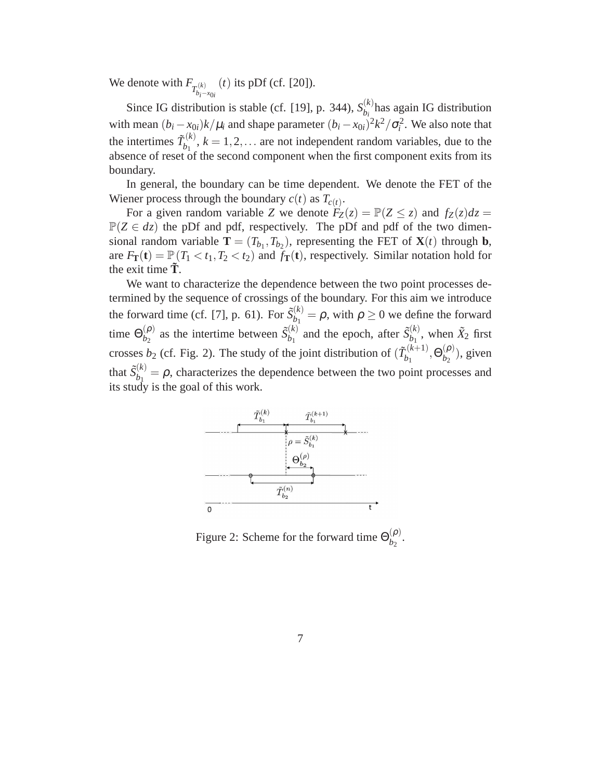We denote with  $F_{T_{b_i-x_{0i}}}$ (*t*) its pDf (cf. [20]).

Since IG distribution is stable (cf. [19], p. 344),  $S_h^{(k)}$  $b_i^{(k)}$  has again IG distribution with mean  $(b_i - x_{0i})k/\mu_i$  and shape parameter  $(b_i - x_{0i})^2k^2/\sigma_i^2$ . We also note that the intertimes  $\tilde{T}_{h}^{(k)}$  $b_1^{(k)}$ ,  $k = 1, 2, \ldots$  are not independent random variables, due to the absence of reset of the second component when the first component exits from its boundary.

In general, the boundary can be time dependent. We denote the FET of the Wiener process through the boundary  $c(t)$  as  $T_{c(t)}$ .

For a given random variable *Z* we denote  $F_Z(z) = \mathbb{P}(Z \leq z)$  and  $f_Z(z)dz =$  $\mathbb{P}(Z \in dz)$  the pDf and pdf, respectively. The pDf and pdf of the two dimensional random variable  $T = (T_{b_1}, T_{b_2})$ , representing the FET of  $X(t)$  through **b**, are  $F_{\mathbf{T}}(\mathbf{t}) = \mathbb{P}(T_1 \le t_1, T_2 \le t_2)$  and  $f_{\mathbf{T}}(\mathbf{t})$ , respectively. Similar notation hold for the exit time  $\tilde{\mathbf{T}}$ .

We want to characterize the dependence between the two point processes determined by the sequence of crossings of the boundary. For this aim we introduce the forward time (cf. [7], p. 61). For  $\tilde{S}_{h}^{(k)}$  $b_1^{(k)} = \rho$ , with  $\rho \ge 0$  we define the forward time  $\Theta_{h_2}^{(\rho)}$  $\binom{(\rho)}{b_2}$  as the intertime between  $\tilde{S}_{b_1}^{(k)}$  $\delta_{b_1}^{(k)}$  and the epoch, after  $\tilde{S}_{b_1}^{(k)}$  $\tilde{X}_2$  first  $\tilde{X}_2$  first crosses  $b_2$  (cf. Fig. 2). The study of the joint distribution of  $(\tilde{T}_{b_1}^{(k+1)})$  $\theta_{b_1}^{(k+1)}, \Theta_{b_2}^{(\boldsymbol{\rho})}$  $b_2^{(\mu)}$ , given that  $\tilde{S}_{h_1}^{(k)}$  $b_1^{(k)} = \rho$ , characterizes the dependence between the two point processes and its study is the goal of this work.



Figure 2: Scheme for the forward time  $\Theta_{h_2}^{(\rho)}$  $\frac{(p)}{b_2}$ .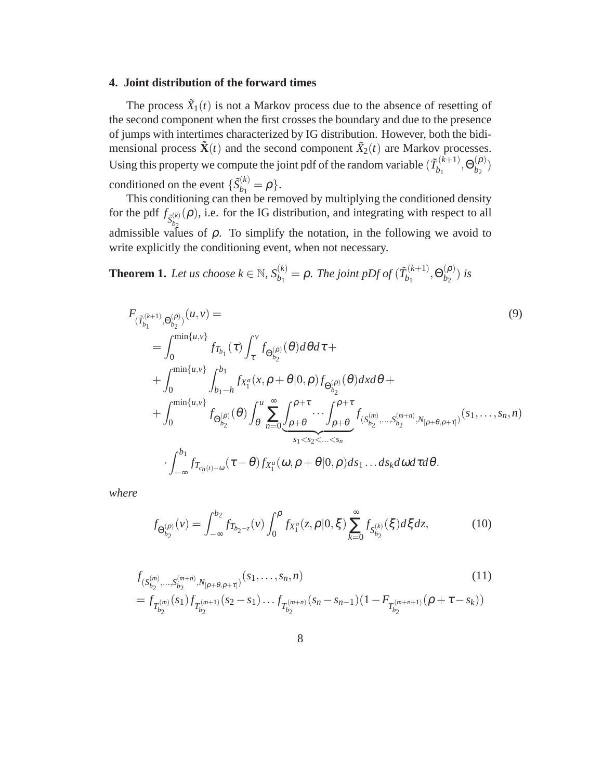## **4. Joint distribution of the forward times**

The process  $\tilde{X}_1(t)$  is not a Markov process due to the absence of resetting of the second component when the first crosses the boundary and due to the presence of jumps with intertimes characterized by IG distribution. However, both the bidimensional process  $\tilde{\mathbf{X}}(t)$  and the second component  $\tilde{X}_2(t)$  are Markov processes. Using this property we compute the joint pdf of the random variable  $(\tilde{T}_{h_1}^{(k+1)})$  $\theta_{b_1}^{(k+1)}, \Theta_{b_2}^{(\boldsymbol{\rho})}$  $\binom{(p)}{b_2}$ conditioned on the event  $\{S_h^{(k)}\}$  $b_1^{(k)} = \rho$ .

This conditioning can then be removed by multiplying the conditioned density for the pdf  $f_{\tilde{S}_{h_0}^{(k)}}(\rho)$ , i.e. for the IG distribution, and integrating with respect to all admissible values of  $\rho$ . To simplify the notation, in the following we avoid to write explicitly the conditioning event, when not necessary.

**Theorem 1.** Let us choose 
$$
k \in \mathbb{N}
$$
,  $S_{b_1}^{(k)} = \rho$ . The joint pDf of  $(\tilde{T}_{b_1}^{(k+1)}, \Theta_{b_2}^{(\rho)})$  is

$$
F_{(\tilde{T}_{b_1}^{(k+1)}, \Theta_{b_2}^{(\rho)})}(u, v) =
$$
\n
$$
= \int_0^{\min\{u, v\}} f_{T_{b_1}}(\tau) \int_{\tau}^v f_{\Theta_{b_2}^{(\rho)}}(\theta) d\theta d\tau +
$$
\n
$$
+ \int_0^{\min\{u, v\}} \int_{b_1 - h}^{b_1} f_{X_1^a}(x, \rho + \theta | 0, \rho) f_{\Theta_{b_2}^{(\rho)}}(\theta) dxd\theta +
$$
\n
$$
+ \int_0^{\min\{u, v\}} f_{\Theta_{b_2}^{(\rho)}}(\theta) \int_{\theta}^u \sum_{n=0}^{\infty} \int_{\rho + \theta}^{\rho + \tau} \cdots \int_{\rho + \theta}^{\rho + \tau} f_{(S_{b_2}^{(m)}, ..., S_{b_2}^{(m+n)}, N_{[\rho + \theta, \rho + \tau]})} (s_1, ..., s_n, n)
$$
\n
$$
\int_{-\infty}^{b_1} f_{T_{c_n(t) - \omega}}(\tau - \theta) f_{X_1^a}(\omega, \rho + \theta | 0, \rho) ds_1 ... ds_k d\omega d\tau d\theta.
$$
\n(9)

*where*

$$
f_{\Theta_{b_2}^{(\rho)}}(v) = \int_{-\infty}^{b_2} f_{T_{b_2-z}}(v) \int_0^{\rho} f_{X_1^a}(z,\rho|0,\xi) \sum_{k=0}^{\infty} f_{S_{b_2}^{(k)}}(\xi) d\xi dz,
$$
 (10)

$$
f_{(S_{b_2}^{(m)},...,S_{b_2}^{(m+n)},N_{[\rho+\theta,\rho+\tau]})}(s_1,...,s_n,n)
$$
\n
$$
= f_{T_{b_2}^{(m)}}(s_1) f_{T_{b_2}^{(m+1)}}(s_2 - s_1) \dots f_{T_{b_2}^{(m+n)}}(s_n - s_{n-1})(1 - F_{T_{b_2}^{(m+n+1)}}(\rho + \tau - s_k))
$$
\n(11)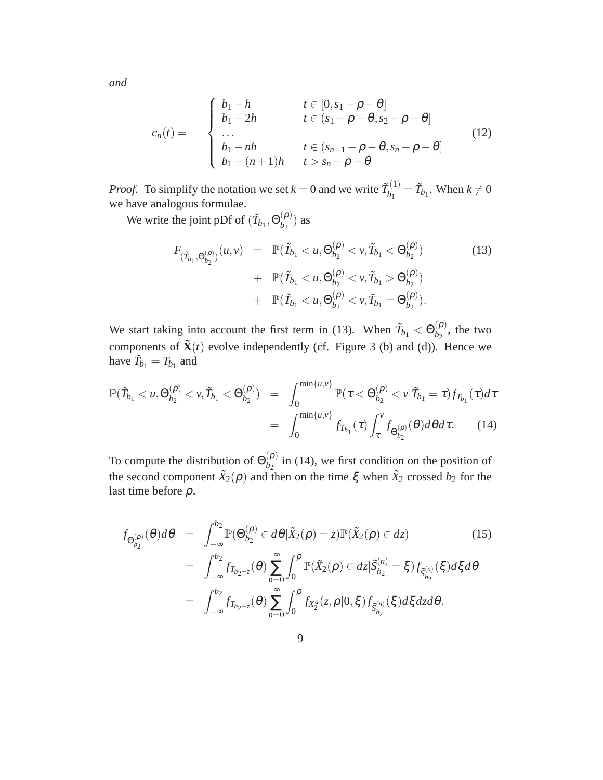*and*

$$
c_n(t) = \begin{cases} b_1 - h & t \in [0, s_1 - \rho - \theta] \\ b_1 - 2h & t \in (s_1 - \rho - \theta, s_2 - \rho - \theta] \\ \dots \\ b_1 - nh & t \in (s_{n-1} - \rho - \theta, s_n - \rho - \theta] \\ b_1 - (n+1)h & t > s_n - \rho - \theta \end{cases}
$$
(12)

*Proof.* To simplify the notation we set  $k = 0$  and we write  $\tilde{T}_{h_1}^{(1)}$  $\tilde{D}_{b_1}^{(1)} = \tilde{T}_{b_1}$ . When  $k \neq 0$ we have analogous formulae.

We write the joint pDf of  $(\tilde{T}_{b_1}, \Theta_{b_2}^{(\rho)})$  $\binom{(p)}{b_2}$  as

$$
F_{(\tilde{T}_{b_1}, \Theta_{b_2}^{(\rho)})}(u, v) = \mathbb{P}(\tilde{T}_{b_1} < u, \Theta_{b_2}^{(\rho)} < v, \tilde{T}_{b_1} < \Theta_{b_2}^{(\rho)}) + \mathbb{P}(\tilde{T}_{b_1} < u, \Theta_{b_2}^{(\rho)} < v, \tilde{T}_{b_1} > \Theta_{b_2}^{(\rho)}) + \mathbb{P}(\tilde{T}_{b_1} < u, \Theta_{b_2}^{(\rho)} < v, \tilde{T}_{b_1} = \Theta_{b_2}^{(\rho)}).
$$
\n
$$
(13)
$$

We start taking into account the first term in (13). When  $\tilde{T}_{b_1} < \Theta_{b_2}^{(\rho)}$  $b_2^{(\nu)}$ , the two components of  $\tilde{\mathbf{X}}(t)$  evolve independently (cf. Figure 3 (b) and (d)). Hence we have  $\tilde{T}_{b_1} = T_{b_1}$  and

$$
\mathbb{P}(\tilde{T}_{b_1} < u, \Theta_{b_2}^{(\rho)} < v, \tilde{T}_{b_1} < \Theta_{b_2}^{(\rho)}) = \int_0^{\min\{u, v\}} \mathbb{P}(\tau < \Theta_{b_2}^{(\rho)} < v | \tilde{T}_{b_1} = \tau) f_{T_{b_1}}(\tau) d\tau
$$
\n
$$
= \int_0^{\min\{u, v\}} f_{T_{b_1}}(\tau) \int_\tau^v f_{\Theta_{b_2}^{(\rho)}}(\theta) d\theta d\tau. \tag{14}
$$

To compute the distribution of  $\Theta_{h_2}^{(\rho)}$  $\frac{(\rho)}{b_2}$  in (14), we first condition on the position of the second component  $\tilde{X}_2(\rho)$  and then on the time  $\xi$  when  $\tilde{X}_2$  crossed  $b_2$  for the last time before  $\rho$ .

$$
f_{\Theta_{b_2}^{(\rho)}}(\theta)d\theta = \int_{-\infty}^{b_2} \mathbb{P}(\Theta_{b_2}^{(\rho)} \in d\theta | \tilde{X}_2(\rho) = z) \mathbb{P}(\tilde{X}_2(\rho) \in dz)
$$
(15)  

$$
= \int_{-\infty}^{b_2} f_{T_{b_2-z}}(\theta) \sum_{n=0}^{\infty} \int_0^{\rho} \mathbb{P}(\tilde{X}_2(\rho) \in dz | \tilde{S}_{b_2}^{(n)} = \xi) f_{\tilde{S}_{b_2}^{(n)}}(\xi) d\xi d\theta
$$

$$
= \int_{-\infty}^{b_2} f_{T_{b_2-z}}(\theta) \sum_{n=0}^{\infty} \int_0^{\rho} f_{X_2^a}(z, \rho | 0, \xi) f_{\tilde{S}_{b_2}^{(n)}}(\xi) d\xi dz d\theta.
$$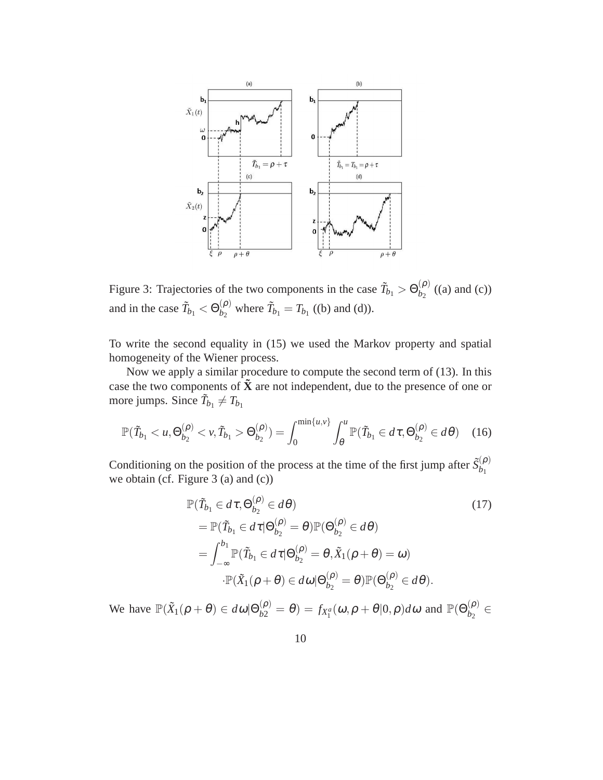

Figure 3: Trajectories of the two components in the case  $\tilde{T}_{b_1} > \Theta_{b_2}^{(\rho)}$  $b_2^{(p)}$  ((a) and (c)) and in the case  $\tilde{T}_{b_1} < \Theta_{b_2}^{(\rho)}$  $\tilde{I}_{b_2}^{(\rho)}$  where  $\tilde{T}_{b_1} = T_{b_1}$  ((b) and (d)).

To write the second equality in (15) we used the Markov property and spatial homogeneity of the Wiener process.

Now we apply a similar procedure to compute the second term of (13). In this case the two components of  $\tilde{\mathbf{X}}$  are not independent, due to the presence of one or more jumps. Since  $\tilde{T}_{b_1} \neq T_{b_1}$ 

$$
\mathbb{P}(\tilde{T}_{b_1} < u, \Theta_{b_2}^{(\rho)} < v, \tilde{T}_{b_1} > \Theta_{b_2}^{(\rho)}) = \int_0^{\min\{u, v\}} \int_\theta^u \mathbb{P}(\tilde{T}_{b_1} \in d\tau, \Theta_{b_2}^{(\rho)} \in d\theta) \tag{16}
$$

Conditioning on the position of the process at the time of the first jump after  $\tilde{S}_{b_0}^{(\rho)}$ *b*1 we obtain (cf. Figure 3 (a) and (c))

$$
\mathbb{P}(\tilde{T}_{b_1} \in d\tau, \Theta_{b_2}^{(\rho)} \in d\theta)
$$
\n
$$
= \mathbb{P}(\tilde{T}_{b_1} \in d\tau | \Theta_{b_2}^{(\rho)} = \theta) \mathbb{P}(\Theta_{b_2}^{(\rho)} \in d\theta)
$$
\n
$$
= \int_{-\infty}^{b_1} \mathbb{P}(\tilde{T}_{b_1} \in d\tau | \Theta_{b_2}^{(\rho)} = \theta, \tilde{X}_1(\rho + \theta) = \omega)
$$
\n
$$
\cdot \mathbb{P}(\tilde{X}_1(\rho + \theta) \in d\omega | \Theta_{b_2}^{(\rho)} = \theta) \mathbb{P}(\Theta_{b_2}^{(\rho)} \in d\theta).
$$
\n(17)

We have  $\mathbb{P}(\tilde{X}_1(\rho + \theta) \in d\omega | \Theta_{b2}^{(\rho)} = \theta) = f_{X_1^a}(\omega, \rho + \theta | 0, \rho) d\omega$  and  $\mathbb{P}(\Theta_{b_2}^{(\rho)}$  $\binom{(\mathsf{P})}{b_2}$  ∈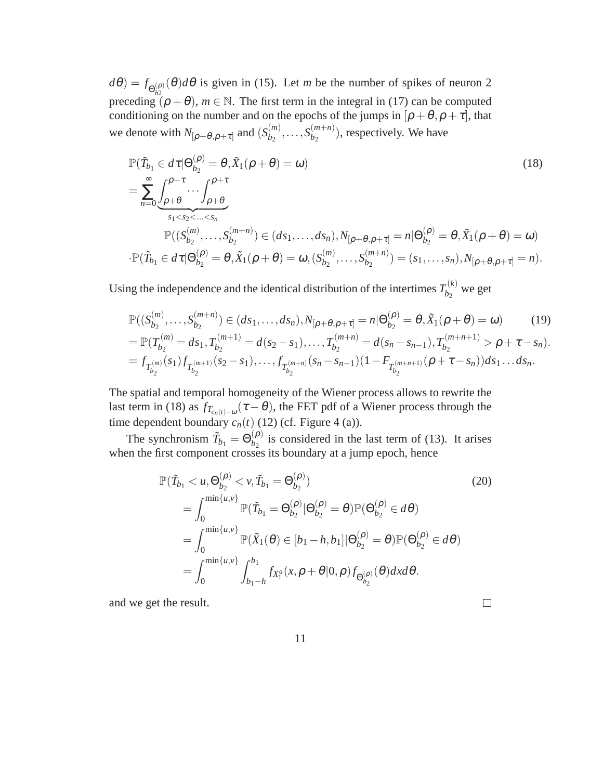$d\theta$ ) =  $f_{\Theta_{b2}^{(\rho)}}(\theta)d\theta$  is given in (15). Let *m* be the number of spikes of neuron 2 preceding  $(\rho + \theta)$ ,  $m \in \mathbb{N}$ . The first term in the integral in (17) can be computed conditioning on the number and on the epochs of the jumps in  $[\rho + \theta, \rho + \tau]$ , that we denote with  $N_{[\rho+\theta,\rho+\tau]}$  and  $(S_{b_2}^{(m)})$  $\binom{m}{b_2}, \ldots, \binom{m+n}{b_2}$  $b_2^{(m+n)}$ ), respectively. We have

$$
\mathbb{P}(\tilde{T}_{b_1} \in d\tau | \Theta_{b_2}^{(\rho)} = \theta, \tilde{X}_1(\rho + \theta) = \omega)
$$
\n
$$
= \sum_{n=0}^{\infty} \int_{\rho + \theta}^{\rho + \tau} \cdots \int_{s_1 < s_2 < \ldots < s_n}^{\rho + \tau} \mathbb{P}((S_{b_2}^{(m)}, \ldots, S_{b_2}^{(m+n)}) \in (ds_1, \ldots, ds_n), N_{[\rho + \theta, \rho + \tau]} = n | \Theta_{b_2}^{(\rho)} = \theta, \tilde{X}_1(\rho + \theta) = \omega)
$$
\n
$$
\cdot \mathbb{P}(\tilde{T}_{b_1} \in d\tau | \Theta_{b_2}^{(\rho)} = \theta, \tilde{X}_1(\rho + \theta) = \omega, (S_{b_2}^{(m)}, \ldots, S_{b_2}^{(m+n)}) = (s_1, \ldots, s_n), N_{[\rho + \theta, \rho + \tau]} = n).
$$
\n(18)

Using the independence and the identical distribution of the intertimes  $T_{h_2}^{(k)}$  $b_2^{(k)}$  we get

$$
\mathbb{P}((S_{b_2}^{(m)},\ldots,S_{b_2}^{(m+n)})\in (ds_1,\ldots,ds_n),N_{[\rho+\theta,\rho+\tau]}=n|\Theta_{b_2}^{(\rho)}=\theta,\tilde{X}_1(\rho+\theta)=\omega) \qquad (19)
$$
\n
$$
=\mathbb{P}(T_{b_2}^{(m)}=ds_1,T_{b_2}^{(m+1)}=d(s_2-s_1),\ldots,T_{b_2}^{(m+n)}=d(s_n-s_{n-1}),T_{b_2}^{(m+n+1)}>\rho+\tau-s_n).
$$
\n
$$
=f_{T_{b_2}^{(m)}}(s_1)f_{T_{b_2}^{(m+1)}}(s_2-s_1),\ldots,f_{T_{b_2}^{(m+n)}}(s_n-s_{n-1})(1-F_{T_{b_2}^{(m+n+1)}}(\rho+\tau-s_n))ds_1\ldots ds_n.
$$

The spatial and temporal homogeneity of the Wiener process allows to rewrite the last term in (18) as  $f_{T_{c_n(t)-\omega}}(\tau - \theta)$ , the FET pdf of a Wiener process through the time dependent boundary  $c_n(t)$  (12) (cf. Figure 4 (a)).

The synchronism  $\tilde{T}_{b_1} = \Theta_{b_2}^{(\rho)}$  $\binom{p}{b_2}$  is considered in the last term of (13). It arises when the first component crosses its boundary at a jump epoch, hence

$$
\mathbb{P}(\tilde{T}_{b_1} < u, \Theta_{b_2}^{(\rho)} < v, \tilde{T}_{b_1} = \Theta_{b_2}^{(\rho)}) \tag{20}
$$
\n
$$
= \int_0^{\min\{u, v\}} \mathbb{P}(\tilde{T}_{b_1} = \Theta_{b_2}^{(\rho)} | \Theta_{b_2}^{(\rho)} = \theta) \mathbb{P}(\Theta_{b_2}^{(\rho)} \in d\theta)
$$
\n
$$
= \int_0^{\min\{u, v\}} \mathbb{P}(\tilde{X}_1(\theta) \in [b_1 - h, b_1] | \Theta_{b_2}^{(\rho)} = \theta) \mathbb{P}(\Theta_{b_2}^{(\rho)} \in d\theta)
$$
\n
$$
= \int_0^{\min\{u, v\}} \int_{b_1 - h}^{b_1} f_{X_1^a}(x, \rho + \theta | 0, \rho) f_{\Theta_{b_2}^{(\rho)}}(\theta) dx d\theta.
$$

and we get the result.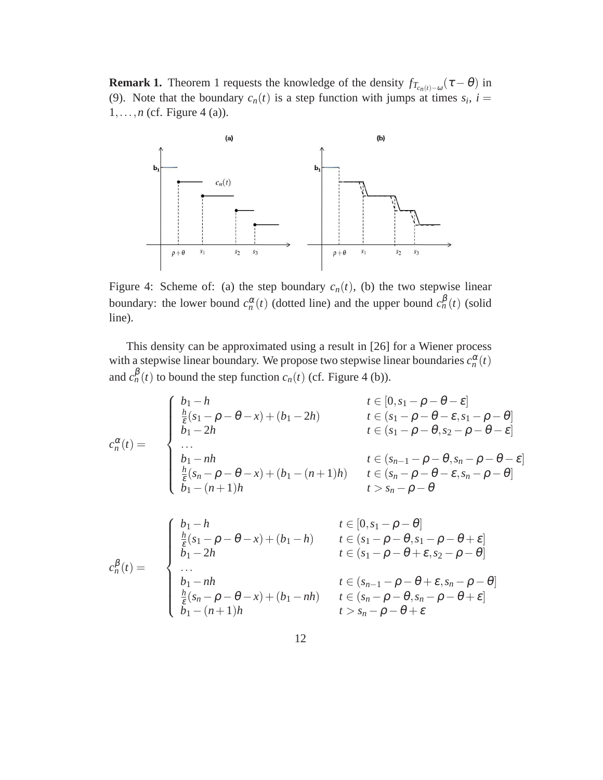**Remark 1.** Theorem 1 requests the knowledge of the density  $f_{T_{c_n(t)-\omega}}(\tau-\theta)$  in (9). Note that the boundary  $c_n(t)$  is a step function with jumps at times  $s_i$ ,  $i =$  $1, \ldots, n$  (cf. Figure 4 (a)).



Figure 4: Scheme of: (a) the step boundary  $c_n(t)$ , (b) the two stepwise linear boundary: the lower bound  $c_n^{\alpha}(t)$  (dotted line) and the upper bound  $c_n^{\beta}(t)$  (solid line).

This density can be approximated using a result in [26] for a Wiener process with a stepwise linear boundary. We propose two stepwise linear boundaries  $c_n^{\alpha}(t)$ and  $c_n^{\beta}(t)$  to bound the step function  $c_n(t)$  (cf. Figure 4 (b)).

$$
c_n^{\alpha}(t) = \begin{cases} b_1 - h & t \in [0, s_1 - \rho - \theta - \varepsilon] \\ \frac{h}{\varepsilon}(s_1 - \rho - \theta - x) + (b_1 - 2h) & t \in (s_1 - \rho - \theta - \varepsilon, s_1 - \rho - \theta] \\ b_1 - 2h & t \in (s_1 - \rho - \theta, s_2 - \rho - \theta - \varepsilon] \\ \dots \\ b_1 - nh & t \in (s_{n-1} - \rho - \theta, s_n - \rho - \theta - \varepsilon] \\ \frac{h}{\varepsilon}(s_n - \rho - \theta - x) + (b_1 - (n+1)h) & t \in (s_n - \rho - \theta - \varepsilon, s_n - \rho - \theta] \\ b_1 - (n+1)h & t > s_n - \rho - \theta \end{cases}
$$

$$
c_n^{\beta}(t) = \begin{cases} b_1 - h & t \in [0, s_1 - \rho - \theta] \\ \frac{h}{\varepsilon}(s_1 - \rho - \theta - x) + (b_1 - h) & t \in (s_1 - \rho - \theta, s_1 - \rho - \theta + \varepsilon] \\ b_1 - 2h & t \in (s_1 - \rho - \theta + \varepsilon, s_2 - \rho - \theta] \\ \cdots & t \in (s_{n-1} - \rho - \theta + \varepsilon, s_n - \rho - \theta] \\ \frac{h}{\varepsilon}(s_n - \rho - \theta - x) + (b_1 - nh) & t \in (s_n - \rho - \theta, s_n - \rho - \theta + \varepsilon] \\ b_1 - (n+1)h & t > s_n - \rho - \theta + \varepsilon \end{cases}
$$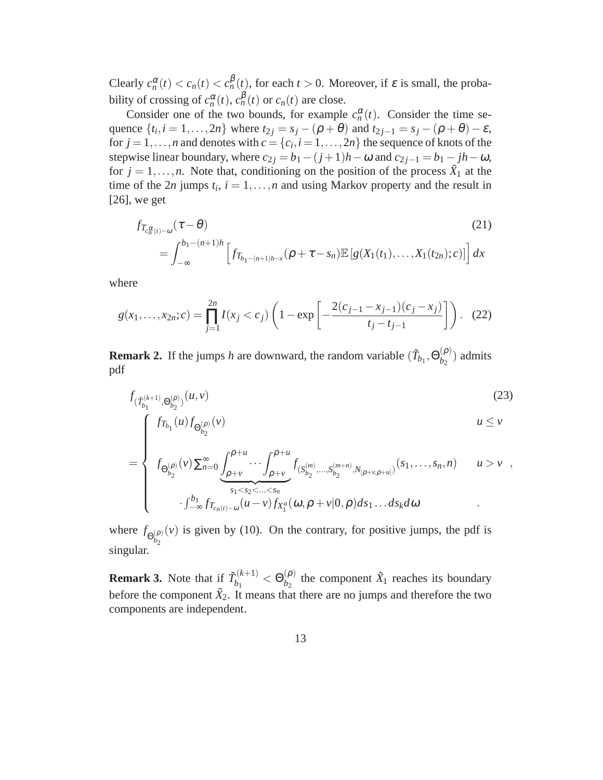Clearly  $c_n^{\alpha}(t) < c_n(t) < c_n^{\beta}(t)$ , for each  $t > 0$ . Moreover, if  $\varepsilon$  is small, the probability of crossing of  $c_n^{\alpha}(t)$ ,  $c_n^{\beta}(t)$  or  $c_n(t)$  are close.

Consider one of the two bounds, for example  $c_n^{\alpha}(t)$ . Consider the time sequence  $\{t_i, i = 1, \ldots, 2n\}$  where  $t_{2j} = s_j - (\rho + \theta)$  and  $t_{2j-1} = s_j - (\rho + \theta) - \varepsilon$ , for  $j = 1, \ldots, n$  and denotes with  $c = \{c_i, i = 1, \ldots, 2n\}$  the sequence of knots of the stepwise linear boundary, where  $c_{2j} = b_1 - (j+1)h - \omega$  and  $c_{2j-1} = b_1 - jh - \omega$ , for  $j = 1, \ldots, n$ . Note that, conditioning on the position of the process  $\tilde{X}_1$  at the time of the  $2n$  jumps  $t_i$ ,  $i = 1, ..., n$  and using Markov property and the result in  $[26]$ , we get

$$
f_{T_{c_n^{\alpha}(t)-\omega}}(\tau-\theta)
$$
\n
$$
=\int_{-\infty}^{b_1-(n+1)h} \left[ f_{T_{b_1-(n+1)h-x}}(\rho+\tau-s_n) \mathbb{E}\left[g(X_1(t_1),...,X_1(t_{2n});c)\right] \right] dx
$$
\n(21)

where

$$
g(x_1,...,x_{2n};c) = \prod_{j=1}^{2n} I(x_j < c_j) \left(1 - \exp\left[-\frac{2(c_{j-1} - x_{j-1})(c_j - x_j)}{t_j - t_{j-1}}\right]\right).
$$
 (22)

**Remark 2.** If the jumps *h* are downward, the random variable  $(\tilde{T}_{b_1}, \Theta_{b_2}^{(\rho)})$  $\binom{(p)}{b_2}$  admits pdf

$$
f_{(\tilde{T}_{b_1}^{(k+1)}, \Theta_{b_2}^{(\rho)})}(u, v)
$$
\n
$$
f_{\tilde{T}_{b_1}}(u) f_{\Theta_{b_2}^{(\rho)}}(v)
$$
\n
$$
u \le v
$$
\n(23)

$$
= \begin{cases} f_{\Theta_{b_2}^{(\rho)}}(\nu) \sum_{n=0}^{\infty} \underbrace{\int_{\rho+\nu}^{\rho+u} \cdots \int_{\rho+\nu}^{\rho+u}}_{s_1 < s_2 < \cdots < s_n} f_{(S_{b_2}^{(m)},...,S_{b_2}^{(m+n)},N_{[\rho+\nu,\rho+u]})}(s_1,...,s_n,n) \quad u > \nu ,\\ f_{-\infty}^{b_1} f_{T_{c_n(t)-\omega}}(u-\nu) f_{X_1^a}(\omega,\rho+\nu|0,\rho) ds_1...ds_k d\omega \end{cases}
$$

where  $f_{\Theta_{b_2}(\rho)}$ (*v*) is given by (10). On the contrary, for positive jumps, the pdf is singular.

**Remark 3.** Note that if  $\tilde{T}_{b_1}^{(k+1)}$  $\theta_{b_1}^{(k+1)} < \Theta_{b_2}^{(\boldsymbol{\rho})}$  $\binom{\rho}{b_2}$  the component  $\tilde{X}_1$  reaches its boundary before the component  $\tilde{X}_2$ . It means that there are no jumps and therefore the two components are independent.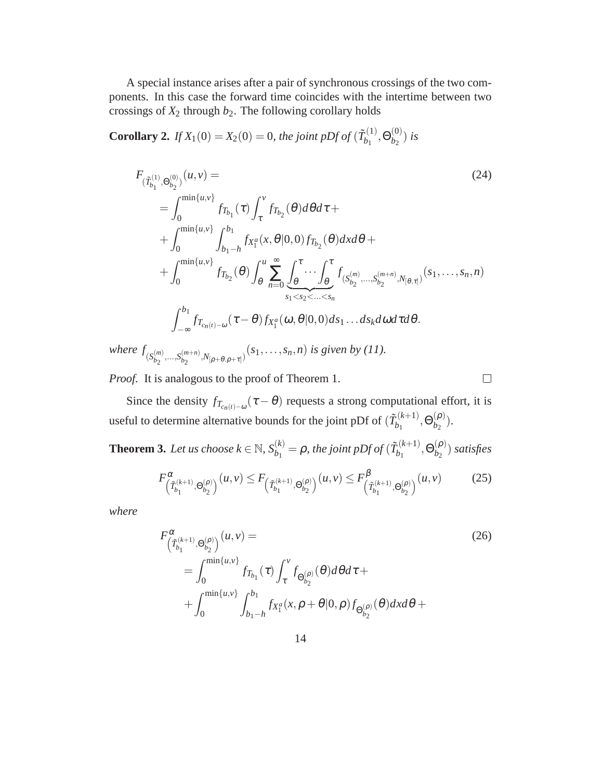A special instance arises after a pair of synchronous crossings of the two components. In this case the forward time coincides with the intertime between two crossings of  $X_2$  through  $b_2$ . The following corollary holds

**Corollary 2.** *If*  $X_1(0) = X_2(0) = 0$ *, the joint pDf of*  $(\tilde{T}_{b_1}^{(1)})$  $\theta_{b_1}^{(1)}, \Theta_{b_2}^{(0)}$  $\binom{0}{b_2}$  *is* 

$$
F_{(\tilde{T}_{b_1}^{(1)},\Theta_{b_2}^{(0)})}(u,v) =
$$
\n
$$
= \int_0^{\min\{u,v\}} f_{T_{b_1}}(\tau) \int_{\tau}^v f_{T_{b_2}}(\theta) d\theta d\tau +
$$
\n
$$
+ \int_0^{\min\{u,v\}} \int_{b_1-h}^{b_1} f_{X_1^a}(x,\theta|0,0) f_{T_{b_2}}(\theta) dxd\theta +
$$
\n
$$
+ \int_0^{\min\{u,v\}} f_{T_{b_2}}(\theta) \int_{\theta}^u \sum_{n=0}^{\infty} \underbrace{\int_{\theta}^{\tau} \cdots \int_{\theta}^{\tau} f_{(S_{b_2}^{(m)},...,S_{b_2}^{(m+n)},N_{[\theta,\tau]})}(s_1,...,s_n,n)}_{s_1 < s_2 < ... < s_n}
$$
\n
$$
\int_{-\infty}^{b_1} f_{T_{c_n(t)-\omega}}(\tau-\theta) f_{X_1^a}(\omega,\theta|0,0) ds_1... ds_k d\omega d\tau d\theta.
$$
\n*ref*<sub>*c*<sub>(m)</sub> <sub>*c*<sub>(m+n),*N*</sub> <sub>*s*<sub>(s1,...,s\_n,n)</sub> *is given by (11).*\n(51, ..., s\_n, n) *is given by (11).*</sub></sub></sub>

 $where \ f_{(S_{b_2}^{(m)},...,S_{b_2}^{(m+n)},N_{[\rho+\theta,\rho+\tau]})}$  $(s_1, \ldots, s_n, n)$  *is given by (11).* 

*Proof.* It is analogous to the proof of Theorem 1.

 $\Box$ 

Since the density  $f_{T_{c_n(t)-\omega}}(\tau - \theta)$  requests a strong computational effort, it is useful to determine alternative bounds for the joint pDf of  $(\tilde{T}_{b_1}^{(k+1)})$  $\theta_{b_1}^{(k+1)}, \Theta_{b_2}^{(\boldsymbol{\rho})}$  $\binom{(p)}{b_2}$ .

**Theorem 3.** Let us choose  $k \in \mathbb{N}$ ,  $S_{b_1}^{(k)} = \rho$ , the joint pDf of  $(\tilde{T}_{b_1}^{(k+1)})$  $\theta_{b_1}^{(k+1)}, \Theta_{b_2}^{(\boldsymbol{\rho})}$  $\binom{(P)}{b_2}$  *satisfies* 

$$
F^{\alpha}_{\left(\tilde{T}_{b_1}^{(k+1)},\Theta_{b_2}^{(\rho)}\right)}(u,v) \leq F_{\left(\tilde{T}_{b_1}^{(k+1)},\Theta_{b_2}^{(\rho)}\right)}(u,v) \leq F^{\beta}_{\left(\tilde{T}_{b_1}^{(k+1)},\Theta_{b_2}^{(\rho)}\right)}(u,v) \tag{25}
$$

*where*

$$
F^{\alpha}_{(\tilde{T}_{b_1}^{(k+1)}, \Theta_{b_2}^{(p)})}(u, v) =
$$
\n
$$
= \int_0^{\min\{u, v\}} f_{T_{b_1}}(\tau) \int_{\tau}^v f_{\Theta_{b_2}^{(p)}}(\theta) d\theta d\tau +
$$
\n
$$
+ \int_0^{\min\{u, v\}} \int_{b_1 - h}^{b_1} f_{X_1^a}(x, \rho + \theta | 0, \rho) f_{\Theta_{b_2}^{(p)}}(\theta) dxd\theta +
$$
\n(26)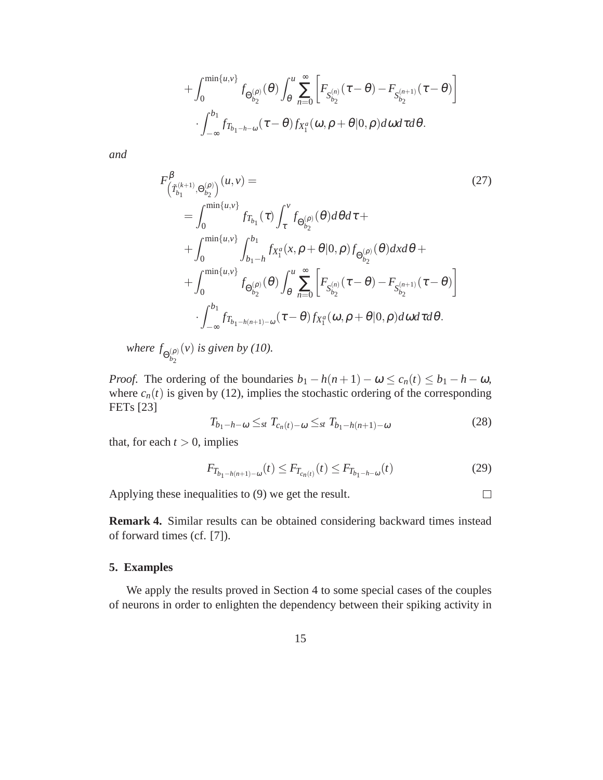$$
+\int_0^{\min\{u,v\}} f_{\Theta_{b_2}^{(\rho)}}(\theta) \int_{\theta}^u \sum_{n=0}^{\infty} \left[ F_{S_{b_2}^{(n)}}(\tau-\theta) - F_{S_{b_2}^{(n+1)}}(\tau-\theta) \right] \cdot \int_{-\infty}^{b_1} f_{T_{b_1-h-\omega}}(\tau-\theta) f_{X_1^a}(\omega,\rho+\theta|0,\rho) d\omega d\tau d\theta.
$$

*and*

$$
F_{(\tilde{T}_{b_1}^{(k+1)},\Theta_{b_2}^{(p)})}^{(\mu,\nu)}(u,v) =
$$
\n
$$
= \int_0^{\min\{u,v\}} f_{T_{b_1}}(\tau) \int_{\tau}^{\nu} f_{\Theta_{b_2}^{(p)}}(\theta) d\theta d\tau +
$$
\n
$$
+ \int_0^{\min\{u,v\}} \int_{b_1-h}^{b_1} f_{X_1^a}(x,\rho+\theta|0,\rho) f_{\Theta_{b_2}^{(p)}}(\theta) dxd\theta +
$$
\n
$$
+ \int_0^{\min\{u,v\}} f_{\Theta_{b_2}^{(p)}}(\theta) \int_{\theta}^{\mu} \sum_{n=0}^{\infty} \left[ F_{S_{b_2}^{(n)}}(\tau-\theta) - F_{S_{b_2}^{(n+1)}}(\tau-\theta) \right]
$$
\n
$$
\cdot \int_{-\infty}^{b_1} f_{T_{b_1-h(n+1)-\omega}}(\tau-\theta) f_{X_1^a}(\omega,\rho+\theta|0,\rho) d\omega d\tau d\theta.
$$
\n(27)

 $$ (*v*) *is given by (10).*

*Proof.* The ordering of the boundaries  $b_1 - h(n+1) - \omega \leq c_n(t) \leq b_1 - h - \omega$ , where  $c_n(t)$  is given by (12), implies the stochastic ordering of the corresponding FETs [23]

$$
T_{b_1-h-\omega} \leq_{st} T_{c_n(t)-\omega} \leq_{st} T_{b_1-h(n+1)-\omega}
$$
\n(28)

that, for each  $t > 0$ , implies

$$
F_{T_{b_1-h(n+1)-\omega}}(t) \le F_{T_{c_n(t)}}(t) \le F_{T_{b_1-h-\omega}}(t)
$$
\n(29)

Applying these inequalities to (9) we get the result.

 $\Box$ 

**Remark 4.** Similar results can be obtained considering backward times instead of forward times (cf. [7]).

#### **5. Examples**

We apply the results proved in Section 4 to some special cases of the couples of neurons in order to enlighten the dependency between their spiking activity in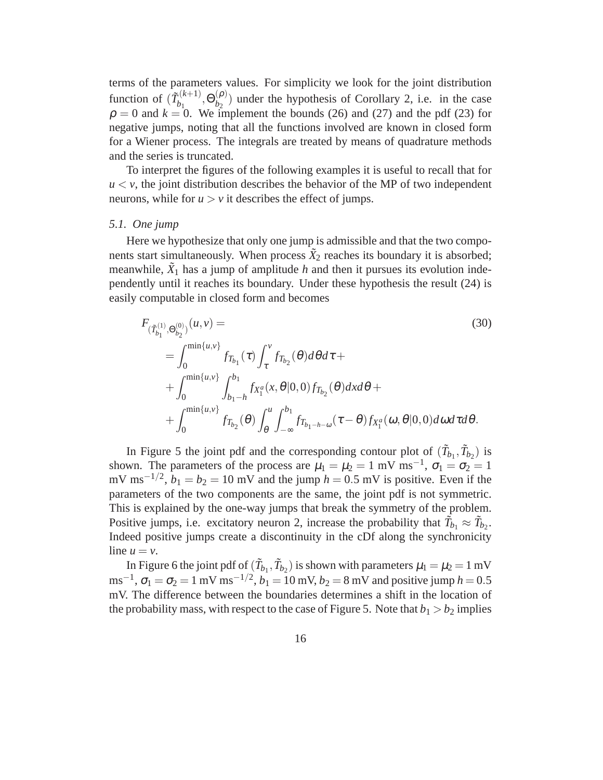terms of the parameters values. For simplicity we look for the joint distribution function of  $(\tilde{T}_{h}^{(k+1)})$  $\theta_{b_1}^{(k+1)}, \Theta_{b_2}^{(\rho)}$  $\binom{(\mu)}{b_2}$  under the hypothesis of Corollary 2, i.e. in the case  $\rho = 0$  and  $k = 0$ . We implement the bounds (26) and (27) and the pdf (23) for negative jumps, noting that all the functions involved are known in closed form for a Wiener process. The integrals are treated by means of quadrature methods and the series is truncated.

To interpret the figures of the following examples it is useful to recall that for  $u < v$ , the joint distribution describes the behavior of the MP of two independent neurons, while for  $u > v$  it describes the effect of jumps.

### *5.1. One jump*

Here we hypothesize that only one jump is admissible and that the two components start simultaneously. When process  $\tilde{X}_2$  reaches its boundary it is absorbed; meanwhile,  $\tilde{X}_1$  has a jump of amplitude *h* and then it pursues its evolution independently until it reaches its boundary. Under these hypothesis the result (24) is easily computable in closed form and becomes

$$
F_{(\tilde{T}_{b_1}^{(1)},\Theta_{b_2}^{(0)})}(u,v) =
$$
\n
$$
= \int_0^{\min\{u,v\}} f_{T_{b_1}}(\tau) \int_{\tau}^v f_{T_{b_2}}(\theta) d\theta d\tau +
$$
\n
$$
+ \int_0^{\min\{u,v\}} \int_{b_1-h}^{b_1} f_{X_1^a}(x,\theta|0,0) f_{T_{b_2}}(\theta) dxd\theta +
$$
\n
$$
+ \int_0^{\min\{u,v\}} f_{T_{b_2}}(\theta) \int_{\theta}^u \int_{-\infty}^{b_1} f_{T_{b_1-h-\omega}}(\tau-\theta) f_{X_1^a}(\omega,\theta|0,0) d\omega d\tau d\theta.
$$
\n(30)

In Figure 5 the joint pdf and the corresponding contour plot of  $(\tilde{T}_{b_1}, \tilde{T}_{b_2})$  is shown. The parameters of the process are  $\mu_1 = \mu_2 = 1$  mV ms<sup>-1</sup>,  $\sigma_1 = \sigma_2 = 1$ mV ms<sup> $-1/2$ </sup>,  $b_1 = b_2 = 10$  mV and the jump  $h = 0.5$  mV is positive. Even if the parameters of the two components are the same, the joint pdf is not symmetric. This is explained by the one-way jumps that break the symmetry of the problem. Positive jumps, i.e. excitatory neuron 2, increase the probability that  $\tilde{T}_{b_1} \approx \tilde{T}_{b_2}$ . Indeed positive jumps create a discontinuity in the cDf along the synchronicity line  $u = v$ .

In Figure 6 the joint pdf of  $(\tilde{T}_{b_1}, \tilde{T}_{b_2})$  is shown with parameters  $\mu_1 = \mu_2 = 1$  mV ms<sup>-1</sup>,  $\sigma_1 = \sigma_2 = 1$  mV ms<sup>-1/2</sup>,  $b_1 = 10$  mV,  $b_2 = 8$  mV and positive jump  $h = 0.5$ mV. The difference between the boundaries determines a shift in the location of the probability mass, with respect to the case of Figure 5. Note that  $b_1 > b_2$  implies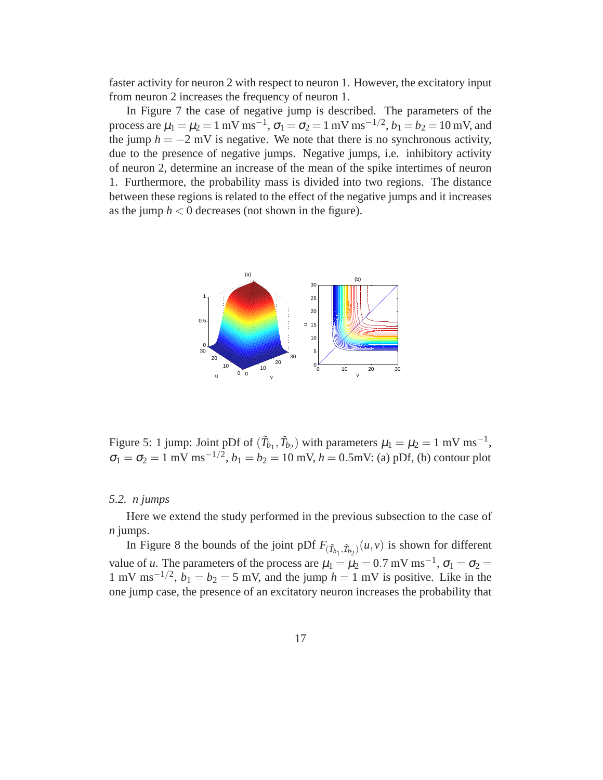faster activity for neuron 2 with respect to neuron 1. However, the excitatory input from neuron 2 increases the frequency of neuron 1.

In Figure 7 the case of negative jump is described. The parameters of the process are  $\mu_1 = \mu_2 = 1$  mV ms<sup>-1</sup>,  $\sigma_1 = \sigma_2 = 1$  mV ms<sup>-1/2</sup>,  $b_1 = b_2 = 10$  mV, and the jump  $h = -2$  mV is negative. We note that there is no synchronous activity, due to the presence of negative jumps. Negative jumps, i.e. inhibitory activity of neuron 2, determine an increase of the mean of the spike intertimes of neuron 1. Furthermore, the probability mass is divided into two regions. The distance between these regions is related to the effect of the negative jumps and it increases as the jump  $h < 0$  decreases (not shown in the figure).



Figure 5: 1 jump: Joint pDf of  $(\tilde{T}_{b_1}, \tilde{T}_{b_2})$  with parameters  $\mu_1 = \mu_2 = 1 \text{ mV ms}^{-1}$ ,  $\sigma_1 = \sigma_2 = 1 \text{ mV ms}^{-1/2}, b_1 = b_2 = 10 \text{ mV}, h = 0.5 \text{mV:}$  (a) pDf, (b) contour plot

#### *5.2. n jumps*

Here we extend the study performed in the previous subsection to the case of *n* jumps.

In Figure 8 the bounds of the joint pDf  $F_{(\tilde{T}_{b_1}, \tilde{T}_{b_2})}(u, v)$  is shown for different value of *u*. The parameters of the process are  $\mu_1 = \mu_2 = 0.7$  mV ms<sup>-1</sup>,  $\sigma_1 = \sigma_2 =$ 1 mV ms<sup> $-1/2$ </sup>,  $b_1 = b_2 = 5$  mV, and the jump  $h = 1$  mV is positive. Like in the one jump case, the presence of an excitatory neuron increases the probability that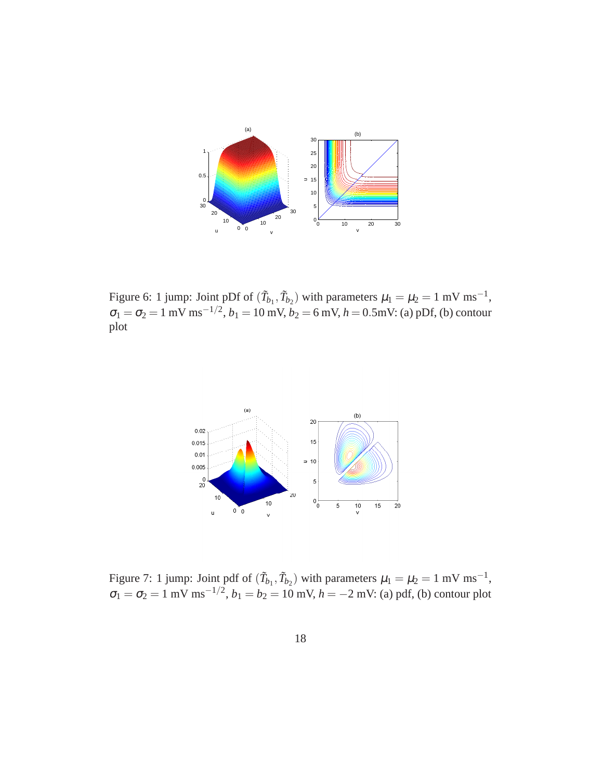

Figure 6: 1 jump: Joint pDf of  $(\tilde{T}_{b_1}, \tilde{T}_{b_2})$  with parameters  $\mu_1 = \mu_2 = 1 \text{ mV ms}^{-1}$ ,  $\sigma_1 = \sigma_2 = 1 \text{ mV ms}^{-1/2}, b_1 = 10 \text{ mV}, b_2 = 6 \text{ mV}, h = 0.5 \text{mV}$ : (a) pDf, (b) contour plot



Figure 7: 1 jump: Joint pdf of  $(\tilde{T}_{b_1}, \tilde{T}_{b_2})$  with parameters  $\mu_1 = \mu_2 = 1 \text{ mV ms}^{-1}$ ,  $\sigma_1 = \sigma_2 = 1 \text{ mV ms}^{-1/2}, b_1 = b_2 = 10 \text{ mV}, h = -2 \text{ mV: (a) pdf, (b) contour plot}$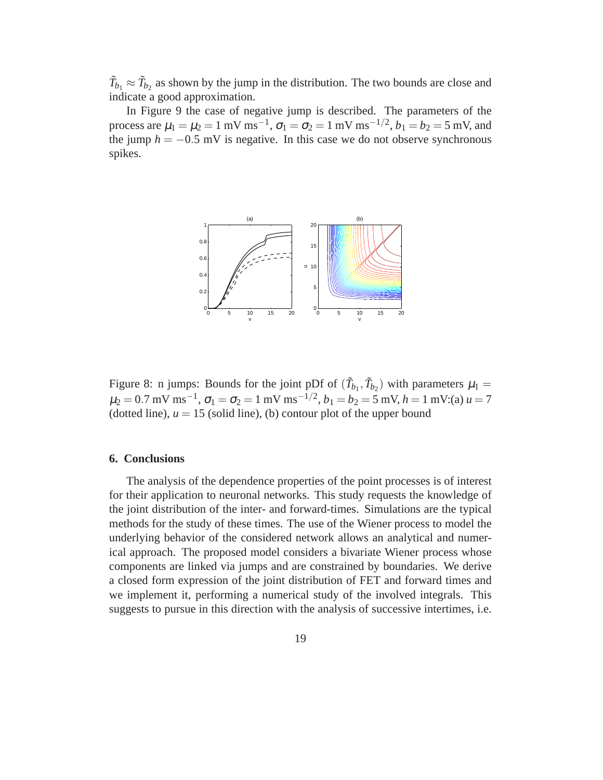$\tilde{T}_{b_1} \approx \tilde{T}_{b_2}$  as shown by the jump in the distribution. The two bounds are close and indicate a good approximation.

In Figure 9 the case of negative jump is described. The parameters of the process are  $\mu_1 = \mu_2 = 1 \text{ mV ms}^{-1}$ ,  $\sigma_1 = \sigma_2 = 1 \text{ mV ms}^{-1/2}$ ,  $b_1 = b_2 = 5 \text{ mV}$ , and the jump  $h = -0.5$  mV is negative. In this case we do not observe synchronous spikes.



Figure 8: n jumps: Bounds for the joint pDf of  $(\tilde{T}_{b_1}, \tilde{T}_{b_2})$  with parameters  $\mu_1 =$  $\mu_2 = 0.7 \text{ mV ms}^{-1}$ ,  $\sigma_1 = \sigma_2 = 1 \text{ mV ms}^{-1/2}$ ,  $b_1 = b_2 = 5 \text{ mV}$ ,  $h = 1 \text{ mV}$ :(a)  $u = 7$ (dotted line),  $u = 15$  (solid line), (b) contour plot of the upper bound

#### **6. Conclusions**

The analysis of the dependence properties of the point processes is of interest for their application to neuronal networks. This study requests the knowledge of the joint distribution of the inter- and forward-times. Simulations are the typical methods for the study of these times. The use of the Wiener process to model the underlying behavior of the considered network allows an analytical and numerical approach. The proposed model considers a bivariate Wiener process whose components are linked via jumps and are constrained by boundaries. We derive a closed form expression of the joint distribution of FET and forward times and we implement it, performing a numerical study of the involved integrals. This suggests to pursue in this direction with the analysis of successive intertimes, i.e.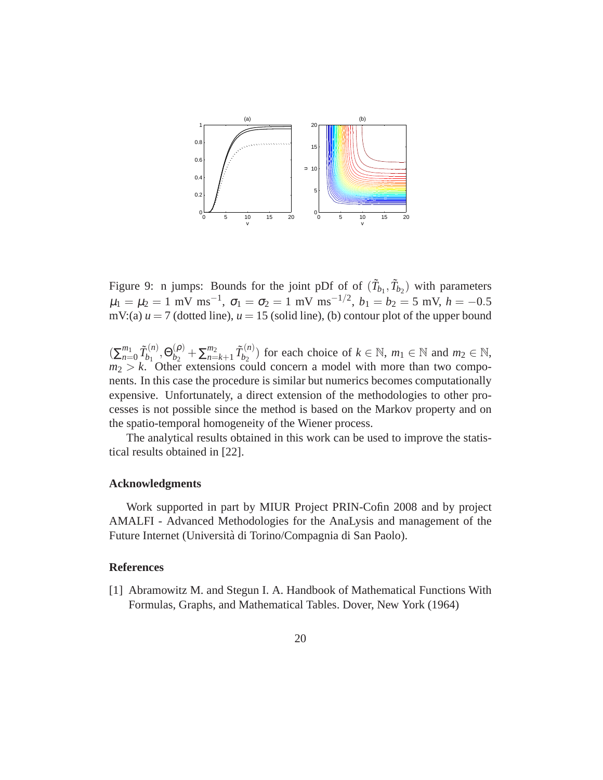

Figure 9: n jumps: Bounds for the joint pDf of of  $(\tilde{T}_{b_1}, \tilde{T}_{b_2})$  with parameters  $\mu_1 = \mu_2 = 1 \text{ mV ms}^{-1}, \ \sigma_1 = \sigma_2 = 1 \text{ mV ms}^{-1/2}, \ b_1 = b_2 = 5 \text{ mV}, \ h = -0.5$ mV:(a)  $u = 7$  (dotted line),  $u = 15$  (solid line), (b) contour plot of the upper bound

 $\left(\sum_{n=1}^{m_1}\right)$  $\tilde{T}_{n=0}^{m_1} \tilde{T}_{b_1}^{(n)}$  $\theta_{b_1}^{(n)}, \Theta_{b_2}^{(\rho)}$  $\binom{(\rho)}{b_2} + \sum_{n=1}^{m_2}$  $\tilde{T}_{n=k+1}^{(n)}$   $\tilde{T}_{b_2}^{(n)}$  $b_2^{(n)}$  for each choice of  $k \in \mathbb{N}$ ,  $m_1 \in \mathbb{N}$  and  $m_2 \in \mathbb{N}$ ,  $m_2 > k$ . Other extensions could concern a model with more than two components. In this case the procedure is similar but numerics becomes computationally expensive. Unfortunately, a direct extension of the methodologies to other processes is not possible since the method is based on the Markov property and on the spatio-temporal homogeneity of the Wiener process.

The analytical results obtained in this work can be used to improve the statistical results obtained in [22].

#### **Acknowledgments**

Work supported in part by MIUR Project PRIN-Cofin 2008 and by project AMALFI - Advanced Methodologies for the AnaLysis and management of the Future Internet (Universita di Torino/Compagnia di San Paolo). `

### **References**

[1] Abramowitz M. and Stegun I. A. Handbook of Mathematical Functions With Formulas, Graphs, and Mathematical Tables. Dover, New York (1964)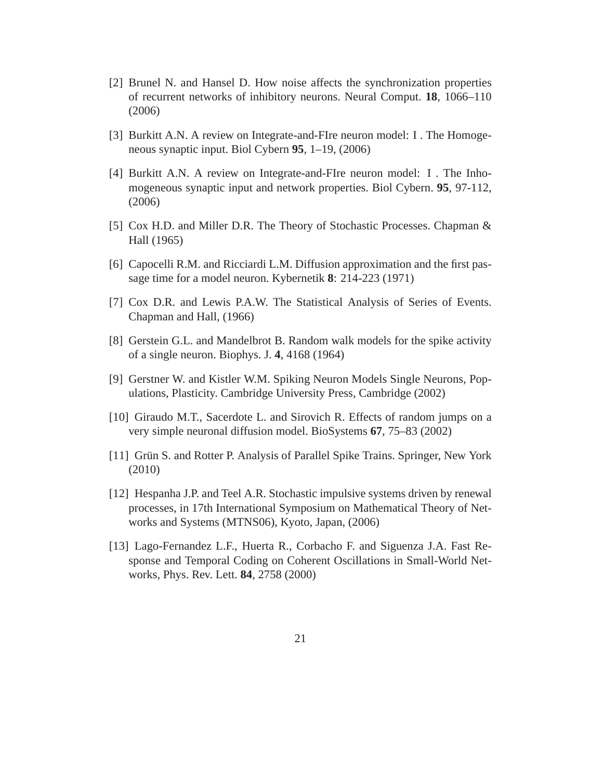- [2] Brunel N. and Hansel D. How noise affects the synchronization properties of recurrent networks of inhibitory neurons. Neural Comput. **18**, 1066–110 (2006)
- [3] Burkitt A.N. A review on Integrate-and-FIre neuron model: I . The Homogeneous synaptic input. Biol Cybern **95**, 1–19, (2006)
- [4] Burkitt A.N. A review on Integrate-and-FIre neuron model: I . The Inhomogeneous synaptic input and network properties. Biol Cybern. **95**, 97-112, (2006)
- [5] Cox H.D. and Miller D.R. The Theory of Stochastic Processes. Chapman & Hall (1965)
- [6] Capocelli R.M. and Ricciardi L.M. Diffusion approximation and the first passage time for a model neuron. Kybernetik **8**: 214-223 (1971)
- [7] Cox D.R. and Lewis P.A.W. The Statistical Analysis of Series of Events. Chapman and Hall, (1966)
- [8] Gerstein G.L. and Mandelbrot B. Random walk models for the spike activity of a single neuron. Biophys. J. **4**, 4168 (1964)
- [9] Gerstner W. and Kistler W.M. Spiking Neuron Models Single Neurons, Populations, Plasticity. Cambridge University Press, Cambridge (2002)
- [10] Giraudo M.T., Sacerdote L. and Sirovich R. Effects of random jumps on a very simple neuronal diffusion model. BioSystems **67**, 75–83 (2002)
- [11] Grün S. and Rotter P. Analysis of Parallel Spike Trains. Springer, New York (2010)
- [12] Hespanha J.P. and Teel A.R. Stochastic impulsive systems driven by renewal processes, in 17th International Symposium on Mathematical Theory of Networks and Systems (MTNS06), Kyoto, Japan, (2006)
- [13] Lago-Fernandez L.F., Huerta R., Corbacho F. and Siguenza J.A. Fast Response and Temporal Coding on Coherent Oscillations in Small-World Networks, Phys. Rev. Lett. **84**, 2758 (2000)